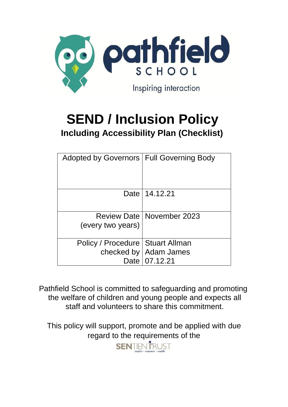

# **SEND / Inclusion Policy Including Accessibility Plan (Checklist)**

| Adopted by Governors   Full Governing Body |                                    |
|--------------------------------------------|------------------------------------|
|                                            | Date   14.12.21                    |
|                                            | <b>Review Date   November 2023</b> |
| (every two years)                          |                                    |
| Policy / Procedure   Stuart Allman         |                                    |
|                                            | checked by   Adam James            |
|                                            | Date   07.12.21                    |

Pathfield School is committed to safeguarding and promoting the welfare of children and young people and expects all staff and volunteers to share this commitment.

This policy will support, promote and be applied with due regard to the requirements of the

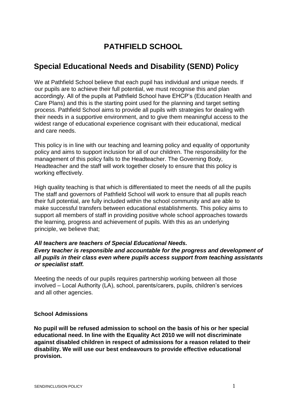## **PATHFIELD SCHOOL**

## **Special Educational Needs and Disability (SEND) Policy**

We at Pathfield School believe that each pupil has individual and unique needs. If our pupils are to achieve their full potential, we must recognise this and plan accordingly. All of the pupils at Pathfield School have EHCP's (Education Health and Care Plans) and this is the starting point used for the planning and target setting process. Pathfield School aims to provide all pupils with strategies for dealing with their needs in a supportive environment, and to give them meaningful access to the widest range of educational experience cognisant with their educational, medical and care needs.

This policy is in line with our teaching and learning policy and equality of opportunity policy and aims to support inclusion for all of our children. The responsibility for the management of this policy falls to the Headteacher. The Governing Body, Headteacher and the staff will work together closely to ensure that this policy is working effectively.

High quality teaching is that which is differentiated to meet the needs of all the pupils The staff and governors of Pathfield School will work to ensure that all pupils reach their full potential, are fully included within the school community and are able to make successful transfers between educational establishments. This policy aims to support all members of staff in providing positive whole school approaches towards the learning, progress and achievement of pupils. With this as an underlying principle, we believe that;

#### *All teachers are teachers of Special Educational Needs. Every teacher is responsible and accountable for the progress and development of all pupils in their class even where pupils access support from teaching assistants or specialist staff.*

Meeting the needs of our pupils requires partnership working between all those involved – Local Authority (LA), school, parents/carers, pupils, children's services and all other agencies.

#### **School Admissions**

**No pupil will be refused admission to school on the basis of his or her special educational need. In line with the Equality Act 2010 we will not discriminate against disabled children in respect of admissions for a reason related to their disability. We will use our best endeavours to provide effective educational provision.**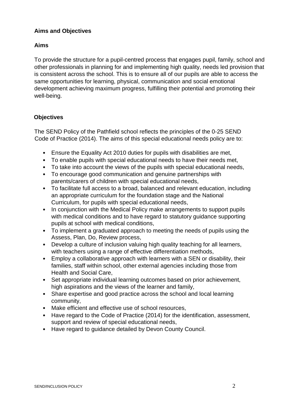#### **Aims and Objectives**

#### **Aims**

To provide the structure for a pupil-centred process that engages pupil, family, school and other professionals in planning for and implementing high quality, needs led provision that is consistent across the school. This is to ensure all of our pupils are able to access the same opportunities for learning, physical, communication and social emotional development achieving maximum progress, fulfilling their potential and promoting their well-being.

#### **Objectives**

The SEND Policy of the Pathfield school reflects the principles of the 0-25 SEND Code of Practice (2014). The aims of this special educational needs policy are to:

- Ensure the Equality Act 2010 duties for pupils with disabilities are met,
- To enable pupils with special educational needs to have their needs met,
- To take into account the views of the pupils with special educational needs,
- To encourage good communication and genuine partnerships with parents/carers of children with special educational needs,
- To facilitate full access to a broad, balanced and relevant education, including an appropriate curriculum for the foundation stage and the National Curriculum, for pupils with special educational needs,
- In conjunction with the Medical Policy make arrangements to support pupils with medical conditions and to have regard to statutory guidance supporting pupils at school with medical conditions,
- To implement a graduated approach to meeting the needs of pupils using the Assess, Plan, Do, Review process,
- Develop a culture of inclusion valuing high quality teaching for all learners, with teachers using a range of effective differentiation methods,
- Employ a collaborative approach with learners with a SEN or disability, their families, staff within school, other external agencies including those from Health and Social Care,
- Set appropriate individual learning outcomes based on prior achievement, high aspirations and the views of the learner and family,
- Share expertise and good practice across the school and local learning community,
- Make efficient and effective use of school resources,
- Have regard to the Code of Practice (2014) for the identification, assessment, support and review of special educational needs,
- Have regard to guidance detailed by Devon County Council.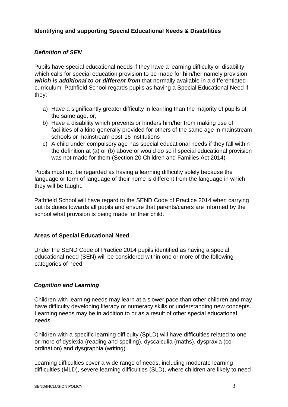#### **Identifying and supporting Special Educational Needs & Disabilities**

#### *Definition of SEN*

Pupils have special educational needs if they have a learning difficulty or disability which calls for special education provision to be made for him/her namely provision *which is additional to or different from* that normally available in a differentiated curriculum. Pathfield School regards pupils as having a Special Educational Need if they:

- a) Have a significantly greater difficulty in learning than the majority of pupils of the same age, or;
- b) Have a disability which prevents or hinders him/her from making use of facilities of a kind generally provided for others of the same age in mainstream schools or mainstream post-16 institutions
- c) A child under compulsory age has special educational needs if they fall within the definition at (a) or (b) above or would do so if special educational provision was not made for them (Section 20 Children and Families Act 2014)

Pupils must not be regarded as having a learning difficulty solely because the language or form of language of their home is different from the language in which they will be taught.

Pathfield School will have regard to the SEND Code of Practice 2014 when carrying out its duties towards all pupils and ensure that parents/carers are informed by the school what provision is being made for their child.

#### **Areas of Special Educational Need**

Under the SEND Code of Practice 2014 pupils identified as having a special educational need (SEN) will be considered within one or more of the following categories of need:

#### *Cognition and Learning*

Children with learning needs may learn at a slower pace than other children and may have difficulty developing literacy or numeracy skills or understanding new concepts. Learning needs may be in addition to or as a result of other special educational needs.

Children with a specific learning difficulty (SpLD) will have difficulties related to one or more of dyslexia (reading and spelling), dyscalculia (maths), dyspraxia (coordination) and dysgraphia (writing).

Learning difficulties cover a wide range of needs, including moderate learning difficulties (MLD), severe learning difficulties (SLD), where children are likely to need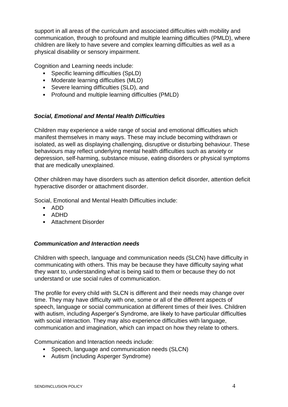support in all areas of the curriculum and associated difficulties with mobility and communication, through to profound and multiple learning difficulties (PMLD), where children are likely to have severe and complex learning difficulties as well as a physical disability or sensory impairment.

Cognition and Learning needs include:

- Specific learning difficulties (SpLD)
- Moderate learning difficulties (MLD)
- Severe learning difficulties (SLD), and
- Profound and multiple learning difficulties (PMLD)

#### *Social, Emotional and Mental Health Difficulties*

Children may experience a wide range of social and emotional difficulties which manifest themselves in many ways. These may include becoming withdrawn or isolated, as well as displaying challenging, disruptive or disturbing behaviour. These behaviours may reflect underlying mental health difficulties such as anxiety or depression, self-harming, substance misuse, eating disorders or physical symptoms that are medically unexplained.

Other children may have disorders such as attention deficit disorder, attention deficit hyperactive disorder or attachment disorder.

Social, Emotional and Mental Health Difficulties include:

- ADD
- ADHD
- Attachment Disorder

#### *Communication and Interaction needs*

Children with speech, language and communication needs (SLCN) have difficulty in communicating with others. This may be because they have difficulty saying what they want to, understanding what is being said to them or because they do not understand or use social rules of communication.

The profile for every child with SLCN is different and their needs may change over time. They may have difficulty with one, some or all of the different aspects of speech, language or social communication at different times of their lives. Children with autism, including Asperger's Syndrome, are likely to have particular difficulties with social interaction. They may also experience difficulties with language, communication and imagination, which can impact on how they relate to others.

Communication and Interaction needs include:

- Speech, language and communication needs (SLCN)
- Autism (including Asperger Syndrome)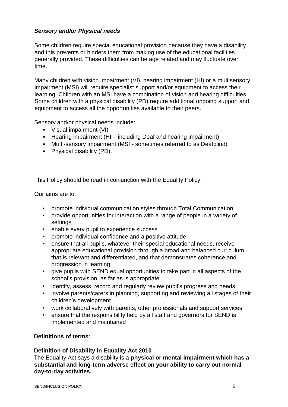#### *Sensory and/or Physical needs*

Some children require special educational provision because they have a disability and this prevents or hinders them from making use of the educational facilities generally provided. These difficulties can be age related and may fluctuate over time.

Many children with vision impairment (VI), hearing impairment (HI) or a multisensory impairment (MSI) will require specialist support and/or equipment to access their learning. Children with an MSI have a combination of vision and hearing difficulties. Some children with a physical disability (PD) require additional ongoing support and equipment to access all the opportunities available to their peers.

Sensory and/or physical needs include:

- Visual impairment (VI)
- Hearing impairment (HI including Deaf and hearing impairment)
- Multi-sensory impairment (MSI sometimes referred to as Deafblind)
- Physical disability (PD).

This Policy should be read in conjunction with the Equality Policy.

Our aims are to:

- promote individual communication styles through Total Communication
- provide opportunities for interaction with a range of people in a variety of settings
- enable every pupil to experience success
- promote individual confidence and a positive attitude
- ensure that all pupils, whatever their special educational needs, receive appropriate educational provision through a broad and balanced curriculum that is relevant and differentiated, and that demonstrates coherence and progression in learning
- give pupils with SEND equal opportunities to take part in all aspects of the school's provision, as far as is appropriate
- identify, assess, record and regularly review pupil's progress and needs
- involve parents/carers in planning, supporting and reviewing all stages of their children's development
- work collaboratively with parents, other professionals and support services
- ensure that the responsibility held by all staff and governors for SEND is implemented and maintained

#### **Definitions of terms:**

#### **Definition of Disability in Equality Act 2010**

The Equality Act says a disability is a **physical or mental impairment which has a substantial and long-term adverse effect on your ability to carry out normal day-to-day activities.**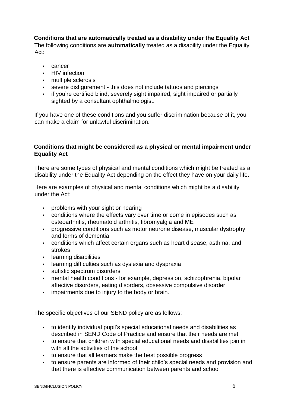#### **Conditions that are automatically treated as a disability under the Equality Act**

The following conditions are **automatically** treated as a disability under the Equality Act:

- cancer
- HIV infection
- multiple sclerosis
- severe disfigurement this does not include tattoos and piercings
- if you're certified blind, severely sight impaired, sight impaired or partially sighted by a consultant ophthalmologist.

If you have one of these conditions and you suffer discrimination because of it, you can make a claim for unlawful discrimination.

#### **Conditions that might be considered as a physical or mental impairment under Equality Act**

There are some types of physical and mental conditions which might be treated as a disability under the Equality Act depending on the effect they have on your daily life.

Here are examples of physical and mental conditions which might be a disability under the Act:

- problems with your sight or hearing
- conditions where the effects vary over time or come in episodes such as osteoarthritis, rheumatoid arthritis, fibromyalgia and ME
- progressive conditions such as motor neurone disease, muscular dystrophy and forms of dementia
- conditions which affect certain organs such as heart disease, asthma, and strokes
- learning disabilities
- learning difficulties such as dyslexia and dyspraxia
- autistic spectrum disorders
- mental health conditions for example, depression, schizophrenia, bipolar affective disorders, eating disorders, obsessive compulsive disorder
- impairments due to injury to the body or brain.

The specific objectives of our SEND policy are as follows:

- to identify individual pupil's special educational needs and disabilities as described in SEND Code of Practice and ensure that their needs are met
- to ensure that children with special educational needs and disabilities join in with all the activities of the school
- to ensure that all learners make the best possible progress
- to ensure parents are informed of their child's special needs and provision and that there is effective communication between parents and school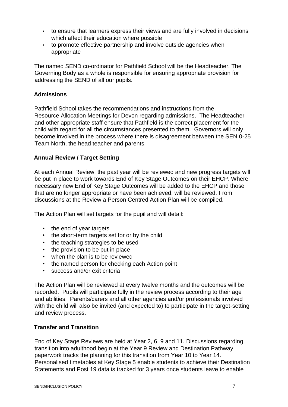- to ensure that learners express their views and are fully involved in decisions which affect their education where possible
- to promote effective partnership and involve outside agencies when appropriate

The named SEND co-ordinator for Pathfield School will be the Headteacher. The Governing Body as a whole is responsible for ensuring appropriate provision for addressing the SEND of all our pupils.

#### **Admissions**

Pathfield School takes the recommendations and instructions from the Resource Allocation Meetings for Devon regarding admissions. The Headteacher and other appropriate staff ensure that Pathfield is the correct placement for the child with regard for all the circumstances presented to them. Governors will only become involved in the process where there is disagreement between the SEN 0-25 Team North, the head teacher and parents.

#### **Annual Review / Target Setting**

At each Annual Review, the past year will be reviewed and new progress targets will be put in place to work towards End of Key Stage Outcomes on their EHCP. Where necessary new End of Key Stage Outcomes will be added to the EHCP and those that are no longer appropriate or have been achieved, will be reviewed. From discussions at the Review a Person Centred Action Plan will be compiled.

The Action Plan will set targets for the pupil and will detail:

- the end of year targets
- the short-term targets set for or by the child
- the teaching strategies to be used
- the provision to be put in place
- when the plan is to be reviewed
- the named person for checking each Action point
- success and/or exit criteria

The Action Plan will be reviewed at every twelve months and the outcomes will be recorded. Pupils will participate fully in the review process according to their age and abilities. Parents/carers and all other agencies and/or professionals involved with the child will also be invited (and expected to) to participate in the target-setting and review process.

#### **Transfer and Transition**

End of Key Stage Reviews are held at Year 2, 6, 9 and 11. Discussions regarding transition into adulthood begin at the Year 9 Review and Destination Pathway paperwork tracks the planning for this transition from Year 10 to Year 14. Personalised timetables at Key Stage 5 enable students to achieve their Destination Statements and Post 19 data is tracked for 3 years once students leave to enable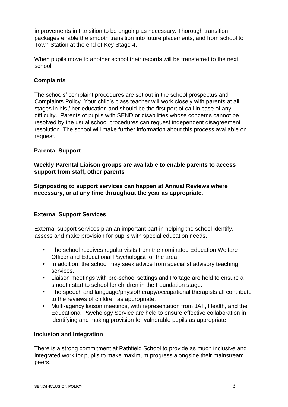improvements in transition to be ongoing as necessary. Thorough transition packages enable the smooth transition into future placements, and from school to Town Station at the end of Key Stage 4.

When pupils move to another school their records will be transferred to the next school.

#### **Complaints**

The schools' complaint procedures are set out in the school prospectus and Complaints Policy. Your child's class teacher will work closely with parents at all stages in his / her education and should be the first port of call in case of any difficulty. Parents of pupils with SEND or disabilities whose concerns cannot be resolved by the usual school procedures can request independent disagreement resolution. The school will make further information about this process available on request.

#### **Parental Support**

**Weekly Parental Liaison groups are available to enable parents to access support from staff, other parents** 

**Signposting to support services can happen at Annual Reviews where necessary, or at any time throughout the year as appropriate.** 

#### **External Support Services**

External support services plan an important part in helping the school identify, assess and make provision for pupils with special education needs.

- The school receives regular visits from the nominated Education Welfare Officer and Educational Psychologist for the area.
- In addition, the school may seek advice from specialist advisory teaching services.
- Liaison meetings with pre-school settings and Portage are held to ensure a smooth start to school for children in the Foundation stage.
- The speech and language/physiotherapy/occupational therapists all contribute to the reviews of children as appropriate.
- Multi-agency liaison meetings, with representation from JAT, Health, and the Educational Psychology Service are held to ensure effective collaboration in identifying and making provision for vulnerable pupils as appropriate

#### **Inclusion and Integration**

There is a strong commitment at Pathfield School to provide as much inclusive and integrated work for pupils to make maximum progress alongside their mainstream peers.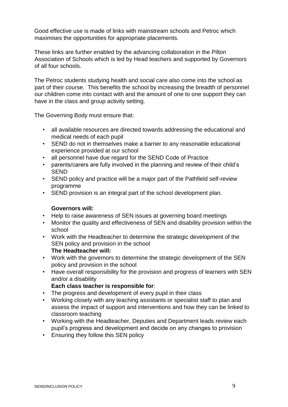Good effective use is made of links with mainstream schools and Petroc which maximises the opportunities for appropriate placements.

These links are further enabled by the advancing collaboration in the Pilton Association of Schools which is led by Head teachers and supported by Governors of all four schools.

The Petroc students studying health and social care also come into the school as part of their course. This benefits the school by increasing the breadth of personnel our children come into contact with and the amount of one to one support they can have in the class and group activity setting.

The Governing Body must ensure that:

- all available resources are directed towards addressing the educational and medical needs of each pupil
- SEND do not in themselves make a barrier to any reasonable educational experience provided at our school
- all personnel have due regard for the SEND Code of Practice
- parents/carers are fully involved in the planning and review of their child's SEND
- SEND policy and practice will be a major part of the Pathfield self-review programme
- SEND provision is an integral part of the school development plan.

#### **Governors will:**

- Help to raise awareness of SEN issues at governing board meetings
- Monitor the quality and effectiveness of SEN and disability provision within the school
- Work with the Headteacher to determine the strategic development of the SEN policy and provision in the school **The Headteacher will:**
- Work with the governors to determine the strategic development of the SEN policy and provision in the school
- Have overall responsibility for the provision and progress of learners with SEN and/or a disability

#### **Each class teacher is responsible for**:

- The progress and development of every pupil in their class
- Working closely with any teaching assistants or specialist staff to plan and assess the impact of support and interventions and how they can be linked to classroom teaching
- Working with the Headteacher, Deputies and Department leads review each pupil's progress and development and decide on any changes to provision
- Ensuring they follow this SEN policy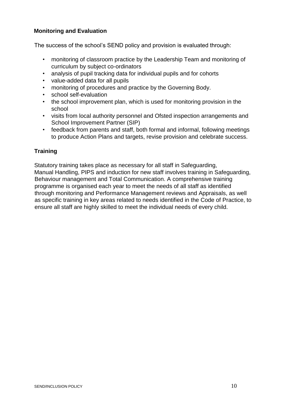#### **Monitoring and Evaluation**

The success of the school's SEND policy and provision is evaluated through:

- monitoring of classroom practice by the Leadership Team and monitoring of curriculum by subject co-ordinators
- analysis of pupil tracking data for individual pupils and for cohorts
- value-added data for all pupils
- monitoring of procedures and practice by the Governing Body.
- school self-evaluation
- the school improvement plan, which is used for monitoring provision in the school
- visits from local authority personnel and Ofsted inspection arrangements and School Improvement Partner (SIP)
- feedback from parents and staff, both formal and informal, following meetings to produce Action Plans and targets, revise provision and celebrate success.

#### **Training**

Statutory training takes place as necessary for all staff in Safeguarding, Manual Handling, PIPS and induction for new staff involves training in Safeguarding, Behaviour management and Total Communication. A comprehensive training programme is organised each year to meet the needs of all staff as identified through monitoring and Performance Management reviews and Appraisals, as well as specific training in key areas related to needs identified in the Code of Practice, to ensure all staff are highly skilled to meet the individual needs of every child.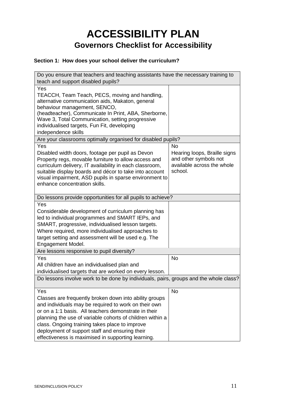## **ACCESSIBILITY PLAN Governors Checklist for Accessibility**

#### **Section 1: How does your school deliver the curriculum?**

| Do you ensure that teachers and teaching assistants have the necessary training to<br>teach and support disabled pupils?                                                                                                                                                                                                                                                                      |                                                                                                             |  |
|-----------------------------------------------------------------------------------------------------------------------------------------------------------------------------------------------------------------------------------------------------------------------------------------------------------------------------------------------------------------------------------------------|-------------------------------------------------------------------------------------------------------------|--|
| Yes<br>TEACCH, Team Teach, PECS, moving and handling,<br>alternative communication aids, Makaton, general<br>behaviour management, SENCO,<br>(headteacher), Communicate In Print, ABA, Sherborne,<br>Wave 3, Total Communication, setting progressive<br>individualised targets, Fun Fit, developing<br>independence skills                                                                   |                                                                                                             |  |
| Are your classrooms optimally organised for disabled pupils?                                                                                                                                                                                                                                                                                                                                  |                                                                                                             |  |
| Yes<br>Disabled width doors, footage per pupil as Devon<br>Property regs, movable furniture to allow access and<br>curriculum delivery, IT availability in each classroom,<br>suitable display boards and décor to take into account<br>visual impairment, ASD pupils in sparse environment to<br>enhance concentration skills.                                                               | <b>No</b><br>Hearing loops, Braille signs<br>and other symbols not<br>available across the whole<br>school. |  |
| Do lessons provide opportunities for all pupils to achieve?                                                                                                                                                                                                                                                                                                                                   |                                                                                                             |  |
| Yes<br>Considerable development of curriculum planning has<br>led to individual programmes and SMART IEPs, and<br>SMART, progressive, individualised lesson targets.<br>Where required, more individualised approaches to<br>target setting and assessment will be used e.g. The<br>Engagement Model.                                                                                         |                                                                                                             |  |
| Are lessons responsive to pupil diversity?                                                                                                                                                                                                                                                                                                                                                    |                                                                                                             |  |
| Yes<br>All children have an individualised plan and<br>individualised targets that are worked on every lesson.<br>Do lessons involve work to be done by individuals, pairs, groups and the whole class?                                                                                                                                                                                       | <b>No</b>                                                                                                   |  |
| Yes                                                                                                                                                                                                                                                                                                                                                                                           | <b>No</b>                                                                                                   |  |
| Classes are frequently broken down into ability groups<br>and individuals may be required to work on their own<br>or on a 1:1 basis. All teachers demonstrate in their<br>planning the use of variable cohorts of children within a<br>class. Ongoing training takes place to improve<br>deployment of support staff and ensuring their<br>effectiveness is maximised in supporting learning. |                                                                                                             |  |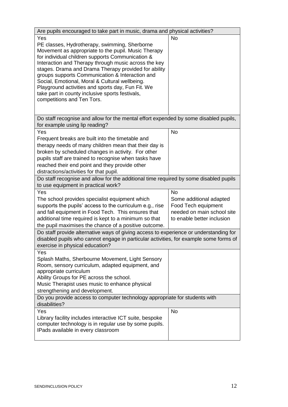| Are pupils encouraged to take part in music, drama and physical activities?                                                                                                                                                                                                                                                                                                                                                                                                                                                |                                                                                                                         |  |
|----------------------------------------------------------------------------------------------------------------------------------------------------------------------------------------------------------------------------------------------------------------------------------------------------------------------------------------------------------------------------------------------------------------------------------------------------------------------------------------------------------------------------|-------------------------------------------------------------------------------------------------------------------------|--|
| Yes<br>PE classes, Hydrotherapy, swimming, Sherborne<br>Movement as appropriate to the pupil. Music Therapy<br>for individual children supports Communication &<br>Interaction and Therapy through music across the key<br>stages. Drama and Drama Therapy provided for ability<br>groups supports Communication & Interaction and<br>Social, Emotional, Moral & Cultural wellbeing.<br>Playground activities and sports day, Fun Fit. We<br>take part in county inclusive sports festivals,<br>competitions and Ten Tors. | <b>No</b>                                                                                                               |  |
| Do staff recognise and allow for the mental effort expended by some disabled pupils,<br>for example using lip reading?                                                                                                                                                                                                                                                                                                                                                                                                     |                                                                                                                         |  |
| Yes<br>Frequent breaks are built into the timetable and<br>therapy needs of many children mean that their day is<br>broken by scheduled changes in activity. For other<br>pupils staff are trained to recognise when tasks have<br>reached their end point and they provide other<br>distractions/activities for that pupil.                                                                                                                                                                                               | <b>No</b>                                                                                                               |  |
| Do staff recognise and allow for the additional time required by some disabled pupils<br>to use equipment in practical work?                                                                                                                                                                                                                                                                                                                                                                                               |                                                                                                                         |  |
| Yes<br>The school provides specialist equipment which<br>supports the pupils' access to the curriculum e.g., rise<br>and fall equipment in Food Tech. This ensures that<br>additional time required is kept to a minimum so that<br>the pupil maximises the chance of a positive outcome.                                                                                                                                                                                                                                  | <b>No</b><br>Some additional adapted<br>Food Tech equipment<br>needed on main school site<br>to enable better inclusion |  |
| Do staff provide alternative ways of giving access to experience or understanding for<br>disabled pupils who cannot engage in particular activities, for example some forms of<br>exercise in physical education?                                                                                                                                                                                                                                                                                                          |                                                                                                                         |  |
| Yes<br>Splash Maths, Sherbourne Movement, Light Sensory<br>Room, sensory curriculum, adapted equipment, and<br>appropriate curriculum<br>Ability Groups for PE across the school.<br>Music Therapist uses music to enhance physical<br>strengthening and development.<br>Do you provide access to computer technology appropriate for students with                                                                                                                                                                        |                                                                                                                         |  |
| disabilities?                                                                                                                                                                                                                                                                                                                                                                                                                                                                                                              |                                                                                                                         |  |
| Yes<br>Library facility includes interactive ICT suite, bespoke<br>computer technology is in regular use by some pupils.<br>IPads available in every classroom                                                                                                                                                                                                                                                                                                                                                             | <b>No</b>                                                                                                               |  |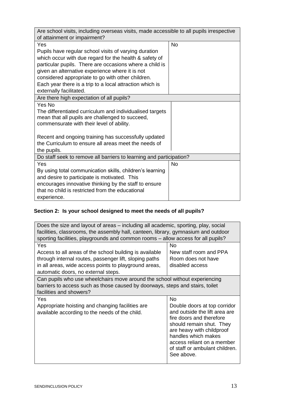| Are school visits, including overseas visits, made accessible to all pupils irrespective<br>of attainment or impairment?                                                                                                                                                                                                                                                         |           |  |
|----------------------------------------------------------------------------------------------------------------------------------------------------------------------------------------------------------------------------------------------------------------------------------------------------------------------------------------------------------------------------------|-----------|--|
| Yes<br>Pupils have regular school visits of varying duration<br>which occur with due regard for the health & safety of<br>particular pupils. There are occasions where a child is<br>given an alternative experience where it is not<br>considered appropriate to go with other children.<br>Each year there is a trip to a local attraction which is<br>externally facilitated. | <b>No</b> |  |
| Are there high expectation of all pupils?                                                                                                                                                                                                                                                                                                                                        |           |  |
| Yes No<br>The differentiated curriculum and individualised targets<br>mean that all pupils are challenged to succeed,<br>commensurate with their level of ability.<br>Recent and ongoing training has successfully updated<br>the Curriculum to ensure all areas meet the needs of<br>the pupils.                                                                                |           |  |
| Do staff seek to remove all barriers to learning and participation?                                                                                                                                                                                                                                                                                                              |           |  |
| Yes<br>By using total communication skills, children's learning<br>and desire to participate is motivated. This<br>encourages innovative thinking by the staff to ensure<br>that no child is restricted from the educational<br>experience.                                                                                                                                      | <b>No</b> |  |

### **Section 2: Is your school designed to meet the needs of all pupils?**

| Does the size and layout of areas – including all academic, sporting, play, social<br>facilities, classrooms, the assembly hall, canteen, library, gymnasium and outdoor<br>sporting facilities, playgrounds and common rooms – allow access for all pupils? |                                                                                                                                                                                                                                                                      |
|--------------------------------------------------------------------------------------------------------------------------------------------------------------------------------------------------------------------------------------------------------------|----------------------------------------------------------------------------------------------------------------------------------------------------------------------------------------------------------------------------------------------------------------------|
| Yes<br>Access to all areas of the school building is available<br>through internal routes, passenger lift, sloping paths<br>in all areas, wide access points to playground areas,<br>automatic doors, no external steps.                                     | <b>No</b><br>New staff room and PPA<br>Room does not have<br>disabled access                                                                                                                                                                                         |
| Can pupils who use wheelchairs move around the school without experiencing<br>barriers to access such as those caused by doorways, steps and stairs, toilet<br>facilities and showers?                                                                       |                                                                                                                                                                                                                                                                      |
| Yes<br>Appropriate hoisting and changing facilities are<br>available according to the needs of the child.                                                                                                                                                    | <b>No</b><br>Double doors at top corridor<br>and outside the lift area are<br>fire doors and therefore<br>should remain shut. They<br>are heavy with childproof<br>handles which makes<br>access reliant on a member<br>of staff or ambulant children.<br>See above. |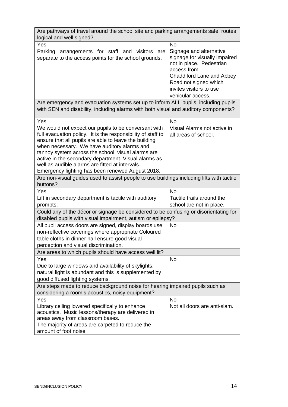| Are pathways of travel around the school site and parking arrangements safe, routes<br>logical and well signed? |                                  |  |
|-----------------------------------------------------------------------------------------------------------------|----------------------------------|--|
| Yes                                                                                                             | <b>No</b>                        |  |
| Parking<br>arrangements for staff and visitors are                                                              | Signage and alternative          |  |
| separate to the access points for the school grounds.                                                           | signage for visually impaired    |  |
|                                                                                                                 | not in place. Pedestrian         |  |
|                                                                                                                 | access from                      |  |
|                                                                                                                 | <b>Chaddiford Lane and Abbey</b> |  |
|                                                                                                                 | Road not signed which            |  |
|                                                                                                                 | invites visitors to use          |  |
|                                                                                                                 | vehicular access.                |  |
|                                                                                                                 |                                  |  |
| Are emergency and evacuation systems set up to inform ALL pupils, including pupils                              |                                  |  |
| with SEN and disability, including alarms with both visual and auditory components?                             |                                  |  |
| Yes                                                                                                             | <b>No</b>                        |  |
| We would not expect our pupils to be conversant with                                                            | Visual Alarms not active in      |  |
| full evacuation policy. It is the responsibility of staff to                                                    | all areas of school.             |  |
| ensure that all pupils are able to leave the building                                                           |                                  |  |
| when necessary. We have auditory alarms and                                                                     |                                  |  |
| tannoy system across the school, visual alarms are                                                              |                                  |  |
| active in the secondary department. Visual alarms as                                                            |                                  |  |
| well as audible alarms are fitted at intervals.                                                                 |                                  |  |
| Emergency lighting has been renewed August 2018.                                                                |                                  |  |
| Are non-visual guides used to assist people to use buildings including lifts with tactile                       |                                  |  |
| buttons?                                                                                                        |                                  |  |
| Yes                                                                                                             | <b>No</b>                        |  |
| Lift in secondary department is tactile with auditory                                                           | Tactile trails around the        |  |
| prompts.                                                                                                        | school are not in place.         |  |
| Could any of the décor or signage be considered to be confusing or disorientating for                           |                                  |  |
| disabled pupils with visual impairment, autism or epilepsy?                                                     |                                  |  |
| All pupil access doors are signed, display boards use                                                           | <b>No</b>                        |  |
| non-reflective coverings where appropriate Coloured                                                             |                                  |  |
| table cloths in dinner hall ensure good visual                                                                  |                                  |  |
| perception and visual discrimination.                                                                           |                                  |  |
| Are areas to which pupils should have access well lit?                                                          |                                  |  |
| Yes                                                                                                             | <b>No</b>                        |  |
| Due to large windows and availability of skylights,                                                             |                                  |  |
| natural light is abundant and this is supplemented by                                                           |                                  |  |
| good diffused lighting systems.                                                                                 |                                  |  |
| Are steps made to reduce background noise for hearing impaired pupils such as                                   |                                  |  |
| considering a room's acoustics, noisy equipment?                                                                |                                  |  |
| Yes                                                                                                             | <b>No</b>                        |  |
| Library ceiling lowered specifically to enhance                                                                 | Not all doors are anti-slam.     |  |
| acoustics. Music lessons/therapy are delivered in                                                               |                                  |  |
| areas away from classroom bases.                                                                                |                                  |  |
| The majority of areas are carpeted to reduce the                                                                |                                  |  |
| amount of foot noise.                                                                                           |                                  |  |